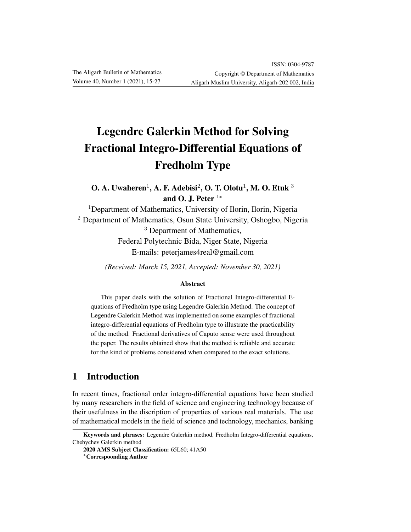# Legendre Galerkin Method for Solving Fractional Integro-Differential Equations of Fredholm Type

O. A. Uwaheren $^1$ , A. F. Adebisi $^2$ , O. T. Olotu $^1$ , M. O. Etuk  $^3$ and O. J. Peter  $1*$ 

<sup>1</sup>Department of Mathematics, University of Ilorin, Ilorin, Nigeria <sup>2</sup> Department of Mathematics, Osun State University, Oshogbo, Nigeria <sup>3</sup> Department of Mathematics,

Federal Polytechnic Bida, Niger State, Nigeria E-mails: peterjames4real@gmail.com

*(Received: March 15, 2021, Accepted: November 30, 2021)*

#### Abstract

This paper deals with the solution of Fractional Integro-differential Equations of Fredholm type using Legendre Galerkin Method. The concept of Legendre Galerkin Method was implemented on some examples of fractional integro-differential equations of Fredholm type to illustrate the practicability of the method. Fractional derivatives of Caputo sense were used throughout the paper. The results obtained show that the method is reliable and accurate for the kind of problems considered when compared to the exact solutions.

# 1 Introduction

In recent times, fractional order integro-differential equations have been studied by many researchers in the field of science and engineering technology because of their usefulness in the discription of properties of various real materials. The use of mathematical models in the field of science and technology, mechanics, banking

Keywords and phrases: Legendre Galerkin method, Fredholm Integro-differential equations, Chebychev Galerkin method

<sup>2020</sup> AMS Subject Classification: 65L60; 41A50

<sup>∗</sup>Correspoonding Author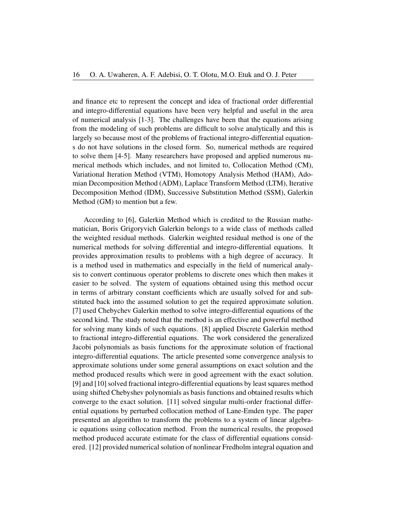and finance etc to represent the concept and idea of fractional order differential and integro-differential equations have been very helpful and useful in the area of numerical analysis [1-3]. The challenges have been that the equations arising from the modeling of such problems are difficult to solve analytically and this is largely so because most of the problems of fractional integro-differential equations do not have solutions in the closed form. So, numerical methods are required to solve them [4-5]. Many researchers have proposed and applied numerous numerical methods which includes, and not limited to, Collocation Method (CM), Variational Iteration Method (VTM), Homotopy Analysis Method (HAM), Adomian Decomposition Method (ADM), Laplace Transform Method (LTM), Iterative Decomposition Method (IDM), Successive Substitution Method (SSM), Galerkin Method (GM) to mention but a few.

According to [6], Galerkin Method which is credited to the Russian mathematician, Boris Grigoryvich Galerkin belongs to a wide class of methods called the weighted residual methods. Galerkin weighted residual method is one of the numerical methods for solving differential and integro-differential equations. It provides approximation results to problems with a high degree of accuracy. It is a method used in mathematics and especially in the field of numerical analysis to convert continuous operator problems to discrete ones which then makes it easier to be solved. The system of equations obtained using this method occur in terms of arbitrary constant coefficients which are usually solved for and substituted back into the assumed solution to get the required approximate solution. [7] used Chebychev Galerkin method to solve integro-differential equations of the second kind. The study noted that the method is an effective and powerful method for solving many kinds of such equations. [8] applied Discrete Galerkin method to fractional integro-differential equations. The work considered the generalized Jacobi polynomials as basis functions for the approximate solution of fractional integro-differential equations. The article presented some convergence analysis to approximate solutions under some general assumptions on exact solution and the method produced results which were in good agreement with the exact solution. [9] and [10] solved fractional integro-differential equations by least squares method using shifted Chebyshev polynomials as basis functions and obtained results which converge to the exact solution. [11] solved singular multi-order fractional differential equations by perturbed collocation method of Lane-Emden type. The paper presented an algorithm to transform the problems to a system of linear algebraic equations using collocation method. From the numerical results, the proposed method produced accurate estimate for the class of differential equations considered. [12] provided numerical solution of nonlinear Fredholm integral equation and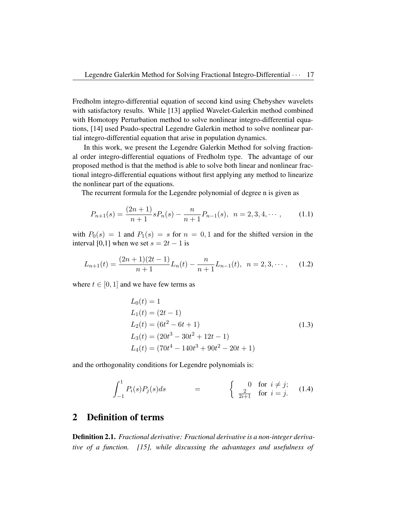Fredholm integro-differential equation of second kind using Chebyshev wavelets with satisfactory results. While [13] applied Wavelet-Galerkin method combined with Homotopy Perturbation method to solve nonlinear integro-differential equations, [14] used Psudo-spectral Legendre Galerkin method to solve nonlinear partial integro-differential equation that arise in population dynamics.

In this work, we present the Legendre Galerkin Method for solving fractional order integro-differential equations of Fredholm type. The advantage of our proposed method is that the method is able to solve both linear and nonlinear fractional integro-differential equations without first applying any method to linearize the nonlinear part of the equations.

The recurrent formula for the Legendre polynomial of degree n is given as

$$
P_{n+1}(s) = \frac{(2n+1)}{n+1} s P_n(s) - \frac{n}{n+1} P_{n-1}(s), \quad n = 2, 3, 4, \cdots,
$$
 (1.1)

with  $P_0(s) = 1$  and  $P_1(s) = s$  for  $n = 0, 1$  and for the shifted version in the interval [0,1] when we set  $s = 2t - 1$  is

$$
L_{n+1}(t) = \frac{(2n+1)(2t-1)}{n+1}L_n(t) - \frac{n}{n+1}L_{n-1}(t), \quad n = 2, 3, \cdots,
$$
 (1.2)

where  $t \in [0, 1]$  and we have few terms as

$$
L_0(t) = 1
$$
  
\n
$$
L_1(t) = (2t - 1)
$$
  
\n
$$
L_2(t) = (6t^2 - 6t + 1)
$$
  
\n
$$
L_3(t) = (20t^3 - 30t^2 + 12t - 1)
$$
  
\n
$$
L_4(t) = (70t^4 - 140t^3 + 90t^2 - 20t + 1)
$$
\n(1.3)

and the orthogonality conditions for Legendre polynomials is:

$$
\int_{-1}^{1} P_i(s) P_j(s) ds = \begin{cases} 0 & \text{for } i \neq j; \\ \frac{2}{2i+1} & \text{for } i = j. \end{cases}
$$
 (1.4)

## 2 Definition of terms

Definition 2.1. *Fractional derivative: Fractional derivative is a non-integer derivative of a function. [15], while discussing the advantages and usefulness of*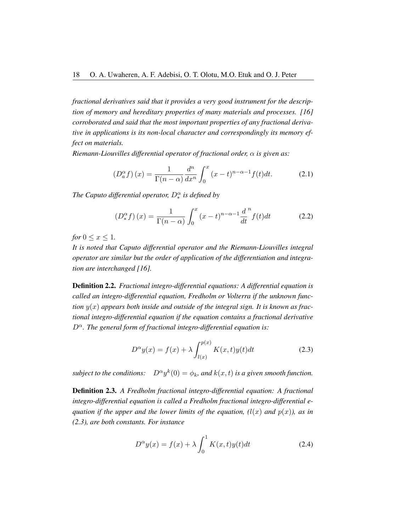*fractional derivatives said that it provides a very good instrument for the description of memory and hereditary properties of many materials and processes. [16] corroborated and said that the most important properties of any fractional derivative in applications is its non-local character and correspondingly its memory effect on materials.*

*Riemann-Liouvilles differential operator of fractional order,* α *is given as:*

$$
\left(D_a^{\alpha}f\right)(x) = \frac{1}{\Gamma(n-\alpha)}\frac{d^n}{dx^n}\int_0^x (x-t)^{n-\alpha-1}f(t)dt.
$$
 (2.1)

*The Caputo differential operator,*  $D_*^{\alpha}$  *is defined by* 

$$
\left(D_{*}^{\alpha}f\right)(x) = \frac{1}{\Gamma(n-\alpha)} \int_{0}^{x} (x-t)^{n-\alpha-1} \frac{d^{n}}{dt} f(t)dt \tag{2.2}
$$

*for*  $0 \leq x \leq 1$ *.* 

*It is noted that Caputo differential operator and the Riemann-Liouvilles integral operator are similar but the order of application of the differentiation and integration are interchanged [16].*

Definition 2.2. *Fractional integro-differential equations: A differential equation is called an integro-differential equation, Fredholm or Volterra if the unknown func-* $\chi$ *tion*  $y(x)$  appears both inside and outside of the integral sign. It is known as frac*tional integro-differential equation if the equation contains a fractional derivative*  $D^{\alpha}$ . The general form of fractional integro-differential equation is:

$$
D^{\alpha}y(x) = f(x) + \lambda \int_{l(x)}^{p(x)} K(x,t)y(t)dt
$$
\n(2.3)

*subject to the conditions:*  $k(0) = \phi_k$ , and  $k(x, t)$  is a given smooth function.

Definition 2.3. *A Fredholm fractional integro-differential equation: A fractional integro-differential equation is called a Fredholm fractional integro-differential equation if the upper and the lower limits of the equation,*  $(l(x)$  *and*  $p(x)$ *), as in (2.3), are both constants. For instance*

$$
D^{\alpha}y(x) = f(x) + \lambda \int_0^1 K(x, t)y(t)dt
$$
 (2.4)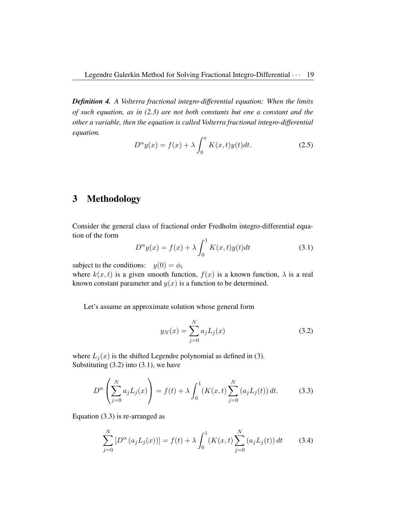*Definition 4. A Volterra fractional integro-differential equation: When the limits of such equation, as in (2.3) are not both constants but one a constant and the other a variable, then the equation is called Volterra fractional integro-differential equation.*

$$
D^{\alpha}y(x) = f(x) + \lambda \int_0^x K(x, t)y(t)dt.
$$
 (2.5)

# 3 Methodology

Consider the general class of fractional order Fredholm integro-differential equation of the form

$$
D^{\alpha}y(x) = f(x) + \lambda \int_0^1 K(x, t)y(t)dt
$$
\n(3.1)

subject to the conditions:  $y(0) = \phi_i$ 

where  $k(x, t)$  is a given smooth function,  $f(x)$  is a known function,  $\lambda$  is a real known constant parameter and  $y(x)$  is a function to be determined.

Let's assume an approximate solution whose general form

$$
y_N(x) = \sum_{j=0}^{N} a_j L_j(x)
$$
 (3.2)

where  $L_i(x)$  is the shifted Legendre polynomial as defined in (3). Substituting  $(3.2)$  into  $(3.1)$ , we have

$$
D^{\alpha}\left(\sum_{j=0}^{N} a_j L_j(x)\right) = f(t) + \lambda \int_0^1 (K(x,t) \sum_{j=0}^{N} (a_j L_j(t)) dt.
$$
 (3.3)

Equation (3.3) is re-arranged as

$$
\sum_{j=0}^{N} \left[ D^{\alpha} \left( a_j L_j(x) \right) \right] = f(t) + \lambda \int_0^1 (K(x, t) \sum_{j=0}^{N} \left( a_j L_j(t) \right) dt \tag{3.4}
$$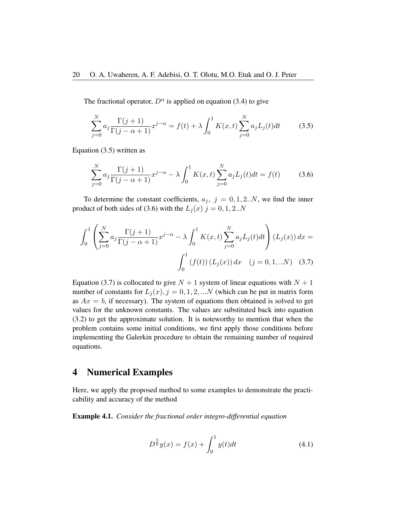The fractional operator,  $D^{\alpha}$  is applied on equation (3.4) to give

$$
\sum_{j=0}^{N} a_j \frac{\Gamma(j+1)}{\Gamma(j-\alpha+1)} x^{j-\alpha} = f(t) + \lambda \int_0^1 K(x,t) \sum_{j=0}^{N} a_j L_j(t) dt \qquad (3.5)
$$

Equation (3.5) written as

$$
\sum_{j=0}^{N} a_j \frac{\Gamma(j+1)}{\Gamma(j-\alpha+1)} x^{j-\alpha} - \lambda \int_0^1 K(x,t) \sum_{j=0}^{N} a_j L_j(t) dt = f(t)
$$
 (3.6)

To determine the constant coefficients,  $a_j$ ,  $j = 0, 1, 2..N$ , we find the inner product of both sides of (3.6) with the  $L_j(x)$   $j = 0, 1, 2..N$ 

$$
\int_0^1 \left( \sum_{j=0}^N a_j \frac{\Gamma(j+1)}{\Gamma(j-\alpha+1)} x^{j-\alpha} - \lambda \int_0^1 K(x,t) \sum_{j=0}^N a_j L_j(t) dt \right) (L_j(x)) dx =
$$

$$
\int_0^1 (f(t)) (L_j(x)) dx \quad (j = 0, 1, ...N) \quad (3.7)
$$

Equation (3.7) is collocated to give  $N + 1$  system of linear equations with  $N + 1$ number of constants for  $L_i(x)$ ,  $j = 0, 1, 2, ...N$  (which can be put in matrix form as  $Ax = b$ , if necessary). The system of equations then obtained is solved to get values for the unknown constants. The values are substituted back into equation (3.2) to get the approximate solution. It is noteworthy to mention that when the problem contains some initial conditions, we first apply those conditions before implementing the Galerkin procedure to obtain the remaining number of required equations.

### 4 Numerical Examples

Here, we apply the proposed method to some examples to demonstrate the practicability and accuracy of the method

Example 4.1. *Consider the fractional order integro-differential equation*

$$
D^{\frac{5}{6}}y(x) = f(x) + \int_0^1 y(t)dt
$$
\n(4.1)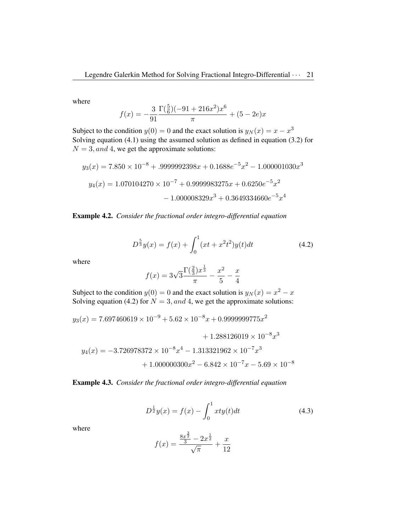where

$$
f(x) = -\frac{3}{91} \frac{\Gamma(\frac{5}{6})(-91+216x^2)x^6}{\pi} + (5-2e)x
$$

Subject to the condition  $y(0) = 0$  and the exact solution is  $y_N(x) = x - x^3$ Solving equation (4.1) using the assumed solution as defined in equation (3.2) for  $N = 3$ , and 4, we get the approximate solutions:

$$
y_3(x) = 7.850 \times 10^{-8} + .9999992398x + 0.1688e^{-5}x^2 - 1.000001030x^3
$$
  

$$
y_4(x) = 1.070104270 \times 10^{-7} + 0.9999983275x + 0.6250e^{-5}x^2
$$
  

$$
- 1.000008329x^3 + 0.3649334660e^{-5}x^4
$$

Example 4.2. *Consider the fractional order integro-differential equation*

$$
D^{\frac{5}{3}}y(x) = f(x) + \int_0^1 (xt + x^2t^2)y(t)dt
$$
 (4.2)

where

$$
f(x) = 3\sqrt{3} \frac{\Gamma(\frac{2}{3})x^{\frac{1}{3}}}{\pi} - \frac{x^2}{5} - \frac{x}{4}
$$

Subject to the condition  $y(0) = 0$  and the exact solution is  $y_N(x) = x^2 - x$ Solving equation (4.2) for  $N = 3$ , and 4, we get the approximate solutions:

$$
y_3(x) = 7.697460619 \times 10^{-9} + 5.62 \times 10^{-8} x + 0.9999999775 x^2
$$

$$
+ 1.288126019 \times 10^{-8} x^3
$$

$$
y_4(x) = -3.726978372 \times 10^{-8} x^4 - 1.313321962 \times 10^{-7} x^3
$$

$$
+ 1.000000300x^{2} - 6.842 \times 10^{-7}x - 5.69 \times 10^{-8}
$$

Example 4.3. *Consider the fractional order integro-differential equation*

$$
D^{\frac{1}{2}}y(x) = f(x) - \int_0^1 xty(t)dt
$$
\n(4.3)

where

$$
f(x) = \frac{\frac{8x^{\frac{3}{2}}}{3} - 2x^{\frac{1}{2}}}{\sqrt{\pi}} + \frac{x}{12}
$$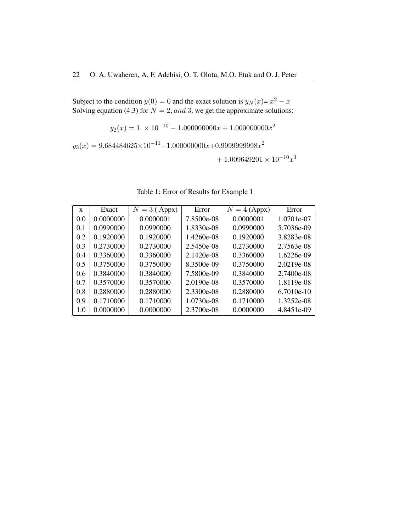Subject to the condition  $y(0) = 0$  and the exact solution is  $y_N(x) = x^2 - x$ Solving equation (4.3) for  $N = 2$ , and 3, we get the approximate solutions:

 $y_2(x) = 1. \times 10^{-10} - 1.000000000x + 1.000000000x^2$ 

 $y_3(x) = 9.684484625 \times 10^{-11} - 1.000000000x + 0.999999998x^2$ 

 $+1.009649201 \times 10^{-10} x^3$ 

| X   | Exact     | $N = 3$ (Appx) | Error        | $N = 4$ (Appx) | Error        |
|-----|-----------|----------------|--------------|----------------|--------------|
| 0.0 | 0.0000000 | 0.0000001      | 7.8500e-08   | 0.0000001      | 1.0701e-07   |
| 0.1 | 0.0990000 | 0.0990000      | 1.8330e-08   | 0.0990000      | 5.7036e-09   |
| 0.2 | 0.1920000 | 0.1920000      | 1.4260e-08   | 0.1920000      | 3.8283e-08   |
| 0.3 | 0.2730000 | 0.2730000      | 2.5450e-08   | 0.2730000      | 2.7563e-08   |
| 0.4 | 0.3360000 | 0.3360000      | 2.1420e-08   | 0.3360000      | $1.6226e-09$ |
| 0.5 | 0.3750000 | 0.3750000      | 8.3500e-09   | 0.3750000      | $2.0219e-08$ |
| 0.6 | 0.3840000 | 0.3840000      | 7.5800e-09   | 0.3840000      | 2.7400e-08   |
| 0.7 | 0.3570000 | 0.3570000      | $2.0190e-08$ | 0.3570000      | 1.8119e-08   |
| 0.8 | 0.2880000 | 0.2880000      | 2.3300e-08   | 0.2880000      | $6.7010e-10$ |
| 0.9 | 0.1710000 | 0.1710000      | 1.0730e-08   | 0.1710000      | 1.3252e-08   |
| 1.0 | 0.0000000 | 0.0000000      | 2.3700e-08   | 0.0000000      | 4.8451e-09   |

Table 1: Error of Results for Example 1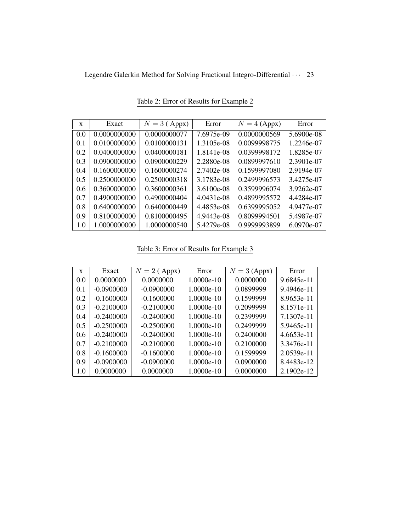| $\mathbf x$   | Exact        | $N = 3$ (Appx) | Error      | $N = 4$ (Appx) | Error      |
|---------------|--------------|----------------|------------|----------------|------------|
| 0.0           | 0.0000000000 | 0.0000000077   | 7.6975e-09 | 0.0000000569   | 5.6900e-08 |
| 0.1           | 0.0100000000 | 0.0100000131   | 1.3105e-08 | 0.0099998775   | 1.2246e-07 |
| 0.2           | 0.0400000000 | 0.0400000181   | 1.8141e-08 | 0.0399998172   | 1.8285e-07 |
| 0.3           | 0.0900000000 | 0.0900000229   | 2.2880e-08 | 0.0899997610   | 2.3901e-07 |
| 0.4           | 0.1600000000 | 0.1600000274   | 2.7402e-08 | 0.1599997080   | 2.9194e-07 |
| 0.5           | 0.2500000000 | 0.2500000318   | 3.1783e-08 | 0.2499996573   | 3.4275e-07 |
| $0.6^{\circ}$ | 0.3600000000 | 0.3600000361   | 3.6100e-08 | 0.3599996074   | 3.9262e-07 |
| 0.7           | 0.4900000000 | 0.4900000404   | 4.0431e-08 | 0.4899995572   | 4.4284e-07 |
| 0.8           | 0.6400000000 | 0.6400000449   | 4.4853e-08 | 0.6399995052   | 4.9477e-07 |
| 0.9           | 0.8100000000 | 0.8100000495   | 4.9443e-08 | 0.8099994501   | 5.4987e-07 |
| 1.0           | 1.0000000000 | 1.0000000540   | 5.4279e-08 | 0.9999993899   | 6.0970e-07 |

Table 2: Error of Results for Example 2

Table 3: Error of Results for Example 3

| $\mathbf x$   | Exact        | $N = 2$ (Appx) | Error      | $N = 3$ (Appx) | Error        |
|---------------|--------------|----------------|------------|----------------|--------------|
| 0.0           | 0.0000000    | 0.0000000      | 1.0000e-10 | 0.0000000      | 9.6845e-11   |
| 0.1           | $-0.0900000$ | $-0.0900000$   | 1.0000e-10 | 0.0899999      | 9.4946e-11   |
| 0.2           | $-0.1600000$ | $-0.1600000$   | 1.0000e-10 | 0.1599999      | 8.9653e-11   |
| 0.3           | $-0.2100000$ | $-0.2100000$   | 1.0000e-10 | 0.2099999      | 8.1571e-11   |
| 0.4           | $-0.2400000$ | $-0.2400000$   | 1.0000e-10 | 0.2399999      | 7.1307e-11   |
| 0.5           | $-0.2500000$ | $-0.2500000$   | 1.0000e-10 | 0.2499999      | 5.9465e-11   |
| $0.6^{\circ}$ | $-0.2400000$ | $-0.2400000$   | 1.0000e-10 | 0.2400000      | $4.6653e-11$ |
| 0.7           | $-0.2100000$ | $-0.2100000$   | 1.0000e-10 | 0.2100000      | 3.3476e-11   |
| 0.8           | $-0.1600000$ | $-0.1600000$   | 1.0000e-10 | 0.1599999      | 2.0539e-11   |
| 0.9           | $-0.0900000$ | $-0.0900000$   | 1.0000e-10 | 0.0900000      | 8.4483e-12   |
| 1.0           | 0.0000000    | 0.0000000      | 1.0000e-10 | 0.0000000      | 2.1902e-12   |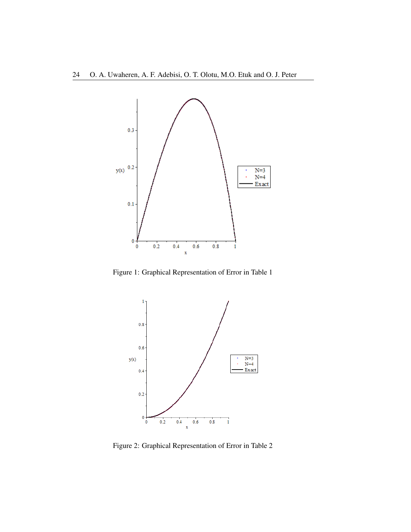

Figure 1: Graphical Representation of Error in Table 1



Figure 2: Graphical Representation of Error in Table 2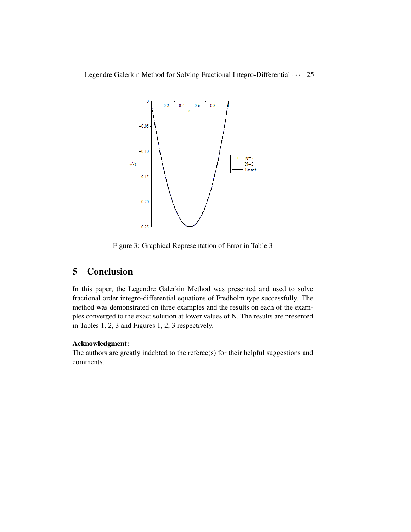

Figure 3: Graphical Representation of Error in Table 3

# 5 Conclusion

In this paper, the Legendre Galerkin Method was presented and used to solve fractional order integro-differential equations of Fredholm type successfully. The method was demonstrated on three examples and the results on each of the examples converged to the exact solution at lower values of N. The results are presented in Tables 1, 2, 3 and Figures 1, 2, 3 respectively.

#### Acknowledgment:

The authors are greatly indebted to the referee(s) for their helpful suggestions and comments.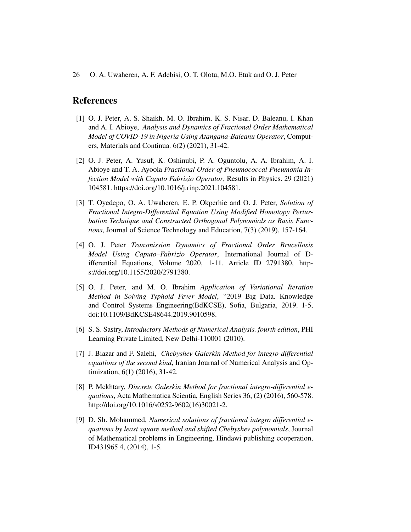#### References

- [1] O. J. Peter, A. S. Shaikh, M. O. Ibrahim, K. S. Nisar, D. Baleanu, I. Khan and A. I. Abioye, *Analysis and Dynamics of Fractional Order Mathematical Model of COVID-19 in Nigeria Using Atangana-Baleanu Operator*, Computers, Materials and Continua. 6(2) (2021), 31-42.
- [2] O. J. Peter, A. Yusuf, K. Oshinubi, P. A. Oguntolu, A. A. Ibrahim, A. I. Abioye and T. A. Ayoola *Fractional Order of Pneumococcal Pneumonia Infection Model with Caputo Fabrizio Operator*, Results in Physics. 29 (2021) 104581. https://doi.org/10.1016/j.rinp.2021.104581.
- [3] T. Oyedepo, O. A. Uwaheren, E. P. Okperhie and O. J. Peter, *Solution of Fractional Integro-Differential Equation Using Modified Homotopy Perturbation Technique and Constructed Orthogonal Polynomials as Basis Functions*, Journal of Science Technology and Education, 7(3) (2019), 157-164.
- [4] O. J. Peter *Transmission Dynamics of Fractional Order Brucellosis Model Using Caputo–Fabrizio Operator*, International Journal of Differential Equations, Volume 2020, 1-11. Article ID 2791380, https://doi.org/10.1155/2020/2791380.
- [5] O. J. Peter, and M. O. Ibrahim *Application of Variational Iteration Method in Solving Typhoid Fever Model*, "2019 Big Data. Knowledge and Control Systems Engineering(BdKCSE), Sofia, Bulgaria, 2019. 1-5, doi:10.1109/BdKCSE48644.2019.9010598.
- [6] S. S. Sastry, *Introductory Methods of Numerical Analysis. fourth edition*, PHI Learning Private Limited, New Delhi-110001 (2010).
- [7] J. Biazar and F. Salehi, *Chebyshev Galerkin Method for integro-differential equations of the second kind*, Iranian Journal of Numerical Analysis and Optimization, 6(1) (2016), 31-42.
- [8] P. Mckhtary, *Discrete Galerkin Method for fractional integro-differential equations*, Acta Mathematica Scientia, English Series 36, (2) (2016), 560-578. http://doi.org/10.1016/s0252-9602(16)30021-2.
- [9] D. Sh. Mohammed, *Numerical solutions of fractional integro differential equations by least square method and shifted Chebyshev polynomials*, Journal of Mathematical problems in Engineering, Hindawi publishing cooperation, ID431965 4, (2014), 1-5.